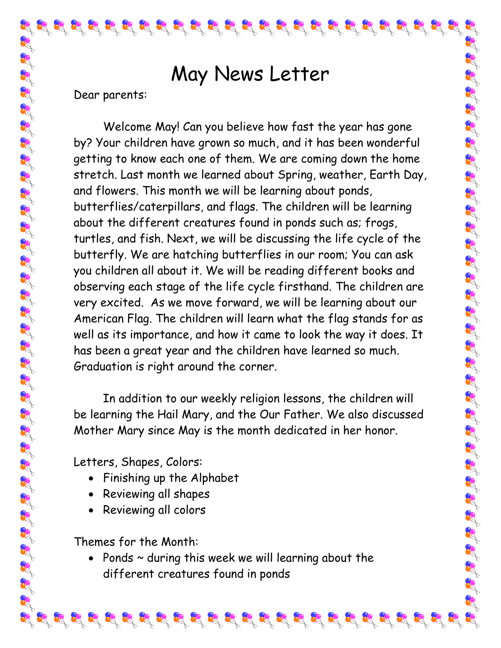## May News Letter

 $\mathcal{L}_1^2 \mathcal{L}_2^3 \mathcal{L}_3^4 \mathcal{L}_3^4 \mathcal{L}_4^3 \mathcal{L}_3^4 \mathcal{L}_2^4 \mathcal{L}_3^3 \mathcal{L}_4^3 \mathcal{L}_3^4 \mathcal{L}_4^3 \mathcal{L}_3^4 \mathcal{L}_4^3 \mathcal{L}_3^4 \mathcal{L}_4^3 \mathcal{L}_3^4 \mathcal{L}_4^3 \mathcal{L}_4^3 \mathcal{L}_4^3 \mathcal{L}_4^4 \mathcal{L}_4^4 \mathcal{L}_4^3 \mathcal{L}_4^4 \mathcal{L}_4^4 \mathcal{$ 

Dear parents:

Welcome May! Can you believe how fast the year has gone by? Your children have grown so much, and it has been wonderful getting to know each one of them. We are coming down the home stretch. Last month we learned about Spring, weather, Earth Day, and flowers. This month we will be learning about ponds, butterflies/caterpillars, and flags. The children will be learning about the different creatures found in ponds such as; frogs, turtles, and fish. Next, we will be discussing the life cycle of the butterfly. We are hatching butterflies in our room; You can ask you children all about it. We will be reading different books and observing each stage of the life cycle firsthand. The children are very excited. As we move forward, we will be learning about our American Flag. The children will learn what the flag stands for as well as its importance, and how it came to look the way it does. It has been a great year and the children have learned so much. Graduation is right around the corner.

In addition to our weekly religion lessons, the children will be learning the Hail Mary, and the Our Father. We also discussed Mother Mary since May is the month dedicated in her honor.

Letters, Shapes, Colors:

- Finishing up the Alphabet
- Reviewing all shapes
- Reviewing all colors

Themes for the Month:

• Ponds  $\sim$  during this week we will learning about the different creatures found in ponds

 $\mathcal{L}_1^2 \mathcal{L}_2^3 \mathcal{L}_3^4 \mathcal{L}_4^3 \mathcal{L}_3^4 \mathcal{L}_4^3 \mathcal{L}_5^4 \mathcal{L}_5^3 \mathcal{L}_6^3 \mathcal{L}_6^3 \mathcal{L}_6^3 \mathcal{L}_6^3 \mathcal{L}_7^4 \mathcal{L}_8^4 \mathcal{L}_8^4 \mathcal{L}_8^3 \mathcal{L}_9^4 \mathcal{L}_9^3 \mathcal{L}_9^3 \mathcal{L}_9^3 \mathcal{L}_9^3 \mathcal{L}_9^3 \mathcal{L}_9^3 \mathcal{L}_9^3 \mathcal{$